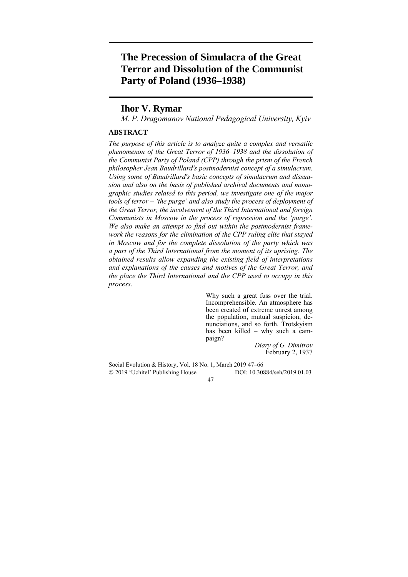# **The Precession of Simulacra of the Great Terror and Dissolution of the Communist Party of Poland (1936–1938)**

# **Ihor V. Rymar**

*M. P. Dragomanov National Pedagogical University, Kyiv* 

## **ABSTRACT**

*The purpose of this article is to analyze quite a complex and versatile phenomenon of the Great Terror of 1936–1938 and the dissolution of the Communist Party of Poland (CPP) through the prism of the French philosopher Jean Baudrillard's postmodernist concept of a simulacrum. Using some of Baudrillard's basic concepts of simulacrum and dissuasion and also on the basis of published archival documents and monographic studies related to this period, we investigate one of the major tools of terror – 'the purge' and also study the process of deployment of the Great Terror, the involvement of the Third International and foreign Communists in Moscow in the process of repression and the 'purge'. We also make an attempt to find out within the postmodernist framework the reasons for the elimination of the CPP ruling elite that stayed in Moscow and for the complete dissolution of the party which was a part of the Third International from the moment of its uprising. The obtained results allow expanding the existing field of interpretations and explanations of the causes and motives of the Great Terror, and the place the Third International and the CPP used to occupy in this process.* 

> Why such a great fuss over the trial. Incomprehensible. An atmosphere has been created of extreme unrest among the population, mutual suspicion, denunciations, and so forth. Trotskyism has been killed – why such a campaign?

*Diary of G. Dimitrov* February 2, 1937

Social Evolution & History, Vol. 18 No. 1, March 2019 47–66 2019 'Uchitel' Publishing House DOI: 10.30884/seh/2019.01.03

47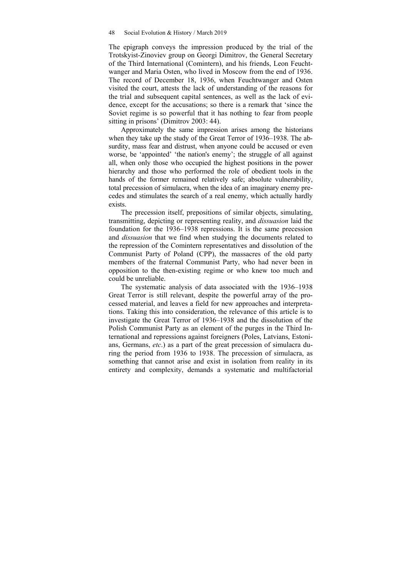#### 48 Social Evolution & History / March 2019

The epigraph conveys the impression produced by the trial of the Trotskyist-Zinoviev group on Georgi Dimitrov, the General Secretary of the Third International (Comintern), and his friends, Leon Feuchtwanger and Maria Osten, who lived in Moscow from the end of 1936. The record of December 18, 1936, when Feuchtwanger and Osten visited the court, attests the lack of understanding of the reasons for the trial and subsequent capital sentences, as well as the lack of evidence, except for the accusations; so there is a remark that 'since the Soviet regime is so powerful that it has nothing to fear from people sitting in prisons' (Dimitrov 2003: 44).

Approximately the same impression arises among the historians when they take up the study of the Great Terror of 1936–1938. The absurdity, mass fear and distrust, when anyone could be accused or even worse, be 'appointed' 'the nation's enemy'; the struggle of all against all, when only those who occupied the highest positions in the power hierarchy and those who performed the role of obedient tools in the hands of the former remained relatively safe; absolute vulnerability, total precession of simulacra, when the idea of an imaginary enemy precedes and stimulates the search of a real enemy, which actually hardly exists.

The precession itself, prepositions of similar objects, simulating, transmitting, depicting or representing reality, and *dissuasion* laid the foundation for the 1936–1938 repressions. It is the same precession and *dissuasion* that we find when studying the documents related to the repression of the Comintern representatives and dissolution of the Communist Party of Poland (CPP), the massacres of the old party members of the fraternal Communist Party, who had never been in opposition to the then-existing regime or who knew too much and could be unreliable.

The systematic analysis of data associated with the 1936–1938 Great Terror is still relevant, despite the powerful array of the processed material, and leaves a field for new approaches and interpretations. Taking this into consideration, the relevance of this article is to investigate the Great Terror of 1936–1938 and the dissolution of the Polish Communist Party as an element of the purges in the Third International and repressions against foreigners (Poles, Latvians, Estonians, Germans, *etc*.) as a part of the great precession of simulacra during the period from 1936 to 1938. The precession of simulacra, as something that cannot arise and exist in isolation from reality in its entirety and complexity, demands a systematic and multifactorial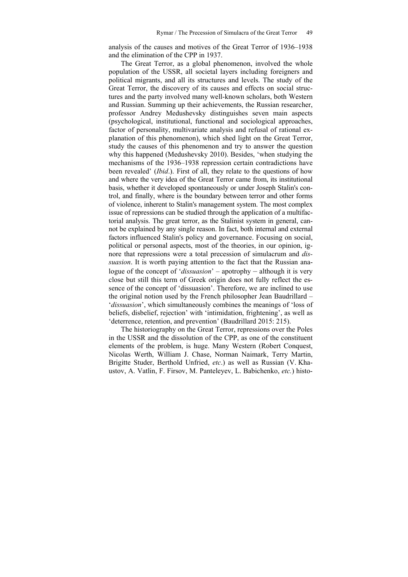analysis of the causes and motives of the Great Terror of 1936–1938 and the elimination of the CPP in 1937.

The Great Terror, as a global phenomenon, involved the whole population of the USSR, all societal layers including foreigners and political migrants, and all its structures and levels. The study of the Great Terror, the discovery of its causes and effects on social structures and the party involved many well-known scholars, both Western and Russian. Summing up their achievements, the Russian researcher, professor Andrey Medushevsky distinguishes seven main aspects (psychological, institutional, functional and sociological approaches, factor of personality, multivariate analysis and refusal of rational explanation of this phenomenon), which shed light on the Great Terror, study the causes of this phenomenon and try to answer the question why this happened (Medushevsky 2010). Besides, 'when studying the mechanisms of the 1936–1938 repression certain contradictions have been revealed' (*Ibid*.). First of all, they relate to the questions of how and where the very idea of the Great Terror came from, its institutional basis, whether it developed spontaneously or under Joseph Stalin's control, and finally, where is the boundary between terror and other forms of violence, inherent to Stalin's management system. The most complex issue of repressions can be studied through the application of a multifactorial analysis. The great terror, as the Stalinist system in general, cannot be explained by any single reason. In fact, both internal and external factors influenced Stalin's policy and governance. Focusing on social, political or personal aspects, most of the theories, in our opinion, ignore that repressions were a total precession of simulacrum and *dissuasion*. It is worth paying attention to the fact that the Russian analogue of the concept of '*dissuasion*' – apotrophy – although it is very close but still this term of Greek origin does not fully reflect the essence of the concept of 'dissuasion'. Therefore, we are inclined to use the original notion used by the French philosopher Jean Baudrillard – '*dissuasion*', which simultaneously combines the meanings of 'loss of beliefs, disbelief, rejection' with 'intimidation, frightening', as well as 'deterrence, retention, and prevention' (Baudrillard 2015: 215).

The historiography on the Great Terror, repressions over the Poles in the USSR and the dissolution of the CPP, as one of the constituent elements of the problem, is huge. Many Western (Robert Conquest, Nicolas Werth, William J. Chase, Norman Naimark, Terry Martin, Brigitte Studer, Berthold Unfried, *etc*.) as well as Russian (V. Khaustov, A. Vatlin, F. Firsov, M. Panteleyev, L. Babichenko, *etc.*) histo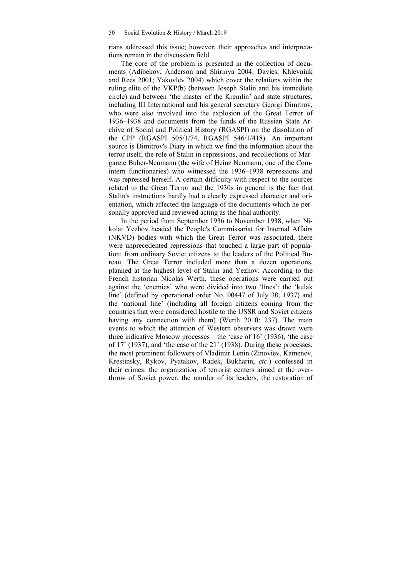rians addressed this issue; however, their approaches and interpretations remain in the discussion field.

The core of the problem is presented in the collection of documents (Adibekov, Anderson and Shirinya 2004; Davies, Khlevniuk and Rees 2001; Yakovlev 2004) which cover the relations within the ruling elite of the VKP(b) (between Joseph Stalin and his immediate circle) and between 'the master of the Kremlin' and state structures, including III International and his general secretary Georgi Dimitrov, who were also involved into the explosion of the Great Terror of 1936–1938 and documents from the funds of the Russian State Archive of Social and Political History (RGASPI) on the dissolution of the CPP (RGASPI 505/1/74, RGASPI 546/1/418). An important source is Dimitrov's Diary in which we find the information about the terror itself, the role of Stalin in repressions, and recollections of Margarete Buber-Neumann (the wife of Heinz Neumann, one of the Comintern functionaries) who witnessed the 1936–1938 repressions and was repressed herself. A certain difficulty with respect to the sources related to the Great Terror and the 1930s in general is the fact that Stalin's instructions hardly had a clearly expressed character and orientation, which affected the language of the documents which he personally approved and reviewed acting as the final authority.

In the period from September 1936 to November 1938, when Nikolai Yezhov headed the People's Commissariat for Internal Affairs (NKVD) bodies with which the Great Terror was associated, there were unprecedented repressions that touched a large part of population: from ordinary Soviet citizens to the leaders of the Political Bureau. The Great Terror included more than a dozen operations, planned at the highest level of Stalin and Yezhov. According to the French historian Nicolas Werth, these operations were carried out against the 'enemies' who were divided into two 'lines': the 'kulak line' (defined by operational order No. 00447 of July 30, 1937) and the 'national line' (including all foreign citizens coming from the countries that were considered hostile to the USSR and Soviet citizens having any connection with them) (Werth 2010: 237). The main events to which the attention of Western observers was drawn were three indicative Moscow processes – the 'case of 16' (1936), 'the case of 17' (1937), and 'the case of the 21' (1938). During these processes, the most prominent followers of Vladimir Lenin (Zinoviev, Kamenev, Krestinsky, Rykov, Pyatakov, Radek, Bukharin, *etc*.) confessed in their crimes: the organization of terrorist centers aimed at the overthrow of Soviet power, the murder of its leaders, the restoration of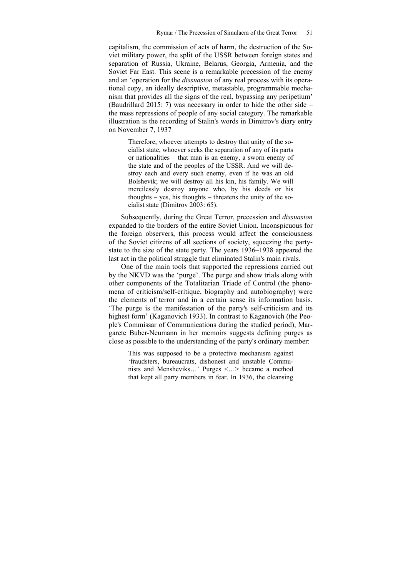capitalism, the commission of acts of harm, the destruction of the Soviet military power, the split of the USSR between foreign states and separation of Russia, Ukraine, Belarus, Georgia, Armenia, and the Soviet Far East. This scene is a remarkable precession of the enemy and an 'operation for the *dissuasion* of any real process with its operational copy, an ideally descriptive, metastable, programmable mechanism that provides all the signs of the real, bypassing any peripetium' (Baudrillard 2015: 7) was necessary in order to hide the other side – the mass repressions of people of any social category. The remarkable illustration is the recording of Stalin's words in Dimitrov's diary entry on November 7, 1937

Therefore, whoever attempts to destroy that unity of the socialist state, whoever seeks the separation of any of its parts or nationalities – that man is an enemy, a sworn enemy of the state and of the peoples of the USSR. And we will destroy each and every such enemy, even if he was an old Bolshevik; we will destroy all his kin, his family. We will mercilessly destroy anyone who, by his deeds or his thoughts – yes, his thoughts – threatens the unity of the socialist state (Dimitrov 2003: 65).

Subsequently, during the Great Terror, precession and *dissuasion* expanded to the borders of the entire Soviet Union. Inconspicuous for the foreign observers, this process would affect the consciousness of the Soviet citizens of all sections of society, squeezing the partystate to the size of the state party. The years 1936–1938 appeared the last act in the political struggle that eliminated Stalin's main rivals.

One of the main tools that supported the repressions carried out by the NKVD was the 'purge'. The purge and show trials along with other components of the Totalitarian Triade of Control (the phenomena of criticism/self-critique, biography and autobiography) were the elements of terror and in a certain sense its information basis. 'The purge is the manifestation of the party's self-criticism and its highest form' (Kaganovich 1933). In contrast to Kaganovich (the People's Commissar of Communications during the studied period), Margarete Buber-Neumann in her memoirs suggests defining purges as close as possible to the understanding of the party's ordinary member:

This was supposed to be a protective mechanism against 'fraudsters, bureaucrats, dishonest and unstable Communists and Mensheviks…' Purges <…> became a method that kept all party members in fear. In 1936, the cleansing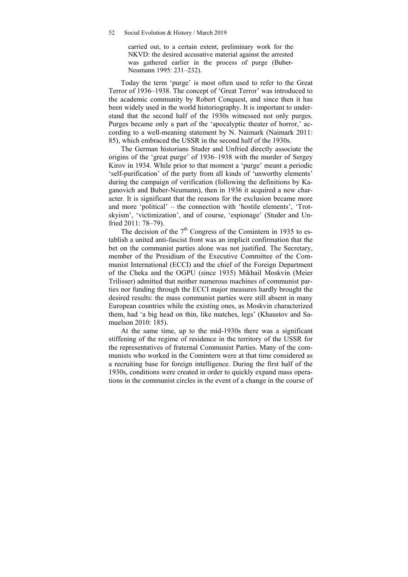carried out, to a certain extent, preliminary work for the NKVD: the desired accusative material against the arrested was gathered earlier in the process of purge (Buber-Neumann 1995: 231–232).

Today the term 'purge' is most often used to refer to the Great Terror of 1936–1938. The concept of 'Great Terror' was introduced to the academic community by Robert Conquest, and since then it has been widely used in the world historiography. It is important to understand that the second half of the 1930s witnessed not only purges. Purges became only a part of the 'apocalyptic theater of horror,' according to a well-meaning statement by N. Naimark (Naimark 2011: 85), which embraced the USSR in the second half of the 1930s.

The German historians Studer and Unfried directly associate the origins of the 'great purge' of 1936–1938 with the murder of Sergey Kirov in 1934. While prior to that moment a 'purge' meant a periodic 'self-purification' of the party from all kinds of 'unworthy elements' during the campaign of verification (following the definitions by Kaganovich and Buber-Neumann), then in 1936 it acquired a new character. It is significant that the reasons for the exclusion became more and more 'political' – the connection with 'hostile elements', 'Trotskyism', 'victimization', and of course, 'espionage' (Studer and Unfried 2011: 78–79).

The decision of the  $7<sup>th</sup>$  Congress of the Comintern in 1935 to establish a united anti-fascist front was an implicit confirmation that the bet on the communist parties alone was not justified. The Secretary, member of the Presidium of the Executive Committee of the Communist International (ECCI) and the chief of the Foreign Department of the Cheka and the OGPU (since 1935) Mikhail Moskvin (Meier Trilisser) admitted that neither numerous machines of communist parties nor funding through the ECCI major measures hardly brought the desired results: the mass communist parties were still absent in many European countries while the existing ones, as Moskvin characterized them, had 'a big head on thin, like matches, legs' (Khaustov and Samuelson 2010: 185).

At the same time, up to the mid-1930s there was a significant stiffening of the regime of residence in the territory of the USSR for the representatives of fraternal Communist Parties. Many of the communists who worked in the Comintern were at that time considered as a recruiting base for foreign intelligence. During the first half of the 1930s, conditions were created in order to quickly expand mass operations in the communist circles in the event of a change in the course of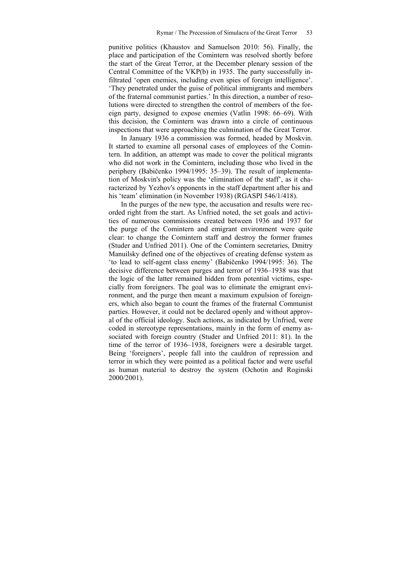punitive politics (Khaustov and Samuelson 2010: 56). Finally, the place and participation of the Comintern was resolved shortly before the start of the Great Terror, at the December plenary session of the Central Committee of the VKP(b) in 1935. The party successfully infiltrated 'open enemies, including even spies of foreign intelligence'. 'They penetrated under the guise of political immigrants and members of the fraternal communist parties.' In this direction, a number of resolutions were directed to strengthen the control of members of the foreign party, designed to expose enemies (Vatlin 1998: 66–69). With this decision, the Comintern was drawn into a circle of continuous inspections that were approaching the culmination of the Great Terror.

In January 1936 a commission was formed, headed by Moskvin. It started to examine all personal cases of employees of the Comintern. In addition, an attempt was made to cover the political migrants who did not work in the Comintern, including those who lived in the periphery (Babičenko 1994/1995: 35–39). The result of implementation of Moskvin's policy was the 'elimination of the staff', as it characterized by Yezhov's opponents in the staff department after his and his 'team' elimination (in November 1938) (RGASPI 546/1/418).

In the purges of the new type, the accusation and results were recorded right from the start. As Unfried noted, the set goals and activities of numerous commissions created between 1936 and 1937 for the purge of the Comintern and emigrant environment were quite clear: to change the Comintern staff and destroy the former frames (Studer and Unfried 2011). One of the Comintern secretaries, Dmitry Manuilsky defined one of the objectives of creating defense system as 'to lead to self-agent class enemy' (Babičenko 1994/1995: 36). The decisive difference between purges and terror of 1936–1938 was that the logic of the latter remained hidden from potential victims, especially from foreigners. The goal was to eliminate the emigrant environment, and the purge then meant a maximum expulsion of foreigners, which also began to count the frames of the fraternal Communist parties. However, it could not be declared openly and without approval of the official ideology. Such actions, as indicated by Unfried, were coded in stereotype representations, mainly in the form of enemy associated with foreign country (Studer and Unfried 2011: 81). In the time of the terror of 1936–1938, foreigners were a desirable target. Being 'foreigners', people fall into the cauldron of repression and terror in which they were pointed as a political factor and were useful as human material to destroy the system (Ochotin and Roginski 2000/2001).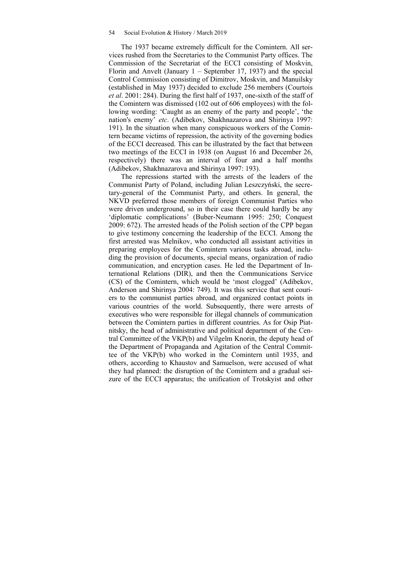The 1937 became extremely difficult for the Comintern. All services rushed from the Secretaries to the Communist Party offices. The Commission of the Secretariat of the ECCI consisting of Moskvin, Florin and Anvelt (January 1 – September 17, 1937) and the special Control Commission consisting of Dimitrov, Moskvin, and Manuilsky (established in May 1937) decided to exclude 256 members (Courtois *et al*. 2001: 284). During the first half of 1937, one-sixth of the staff of the Comintern was dismissed (102 out of 606 employees) with the following wording: 'Caught as an enemy of the party and people', 'the nation's enemy' *etc*. (Adibekov, Shakhnazarova and Shirinya 1997: 191). In the situation when many conspicuous workers of the Comintern became victims of repression, the activity of the governing bodies of the ECCI decreased. This can be illustrated by the fact that between two meetings of the ECCI in 1938 (on August 16 and December 26, respectively) there was an interval of four and a half months (Adibekov, Shakhnazarova and Shirinya 1997: 193).

The repressions started with the arrests of the leaders of the Communist Party of Poland, including Julian Leszczyński, the secretary-general of the Communist Party, and others. In general, the NKVD preferred those members of foreign Communist Parties who were driven underground, so in their case there could hardly be any 'diplomatic complications' (Buber-Neumann 1995: 250; Conquest 2009: 672). The arrested heads of the Polish section of the CPP began to give testimony concerning the leadership of the ECCI. Among the first arrested was Melnikov, who conducted all assistant activities in preparing employees for the Comintern various tasks abroad, including the provision of documents, special means, organization of radio communication, and encryption cases. He led the Department of International Relations (DIR), and then the Communications Service (CS) of the Comintern, which would be 'most clogged' (Adibekov, Anderson and Shirinya 2004: 749). It was this service that sent couriers to the communist parties abroad, and organized contact points in various countries of the world. Subsequently, there were arrests of executives who were responsible for illegal channels of communication between the Comintern parties in different countries. As for Osip Piatnitsky, the head of administrative and political department of the Central Committee of the VKP(b) and Vilgelm Knorin, the deputy head of the Department of Propaganda and Agitation of the Central Committee of the VKP(b) who worked in the Comintern until 1935, and others, according to Khaustov and Samuelson, were accused of what they had planned: the disruption of the Comintern and a gradual seizure of the ECCI apparatus; the unification of Trotskyist and other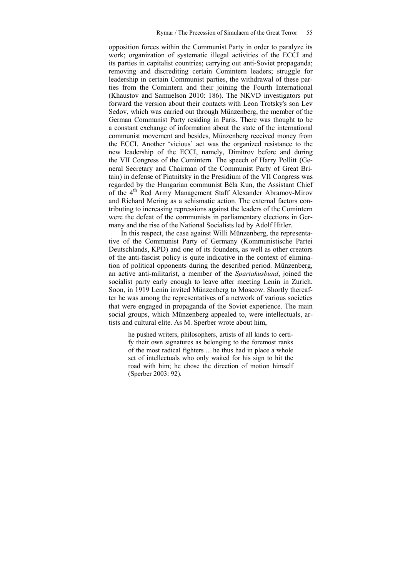opposition forces within the Communist Party in order to paralyze its work; organization of systematic illegal activities of the ECCI and its parties in capitalist countries; carrying out anti-Soviet propaganda; removing and discrediting certain Comintern leaders; struggle for leadership in certain Communist parties, the withdrawal of these parties from the Comintern and their joining the Fourth International (Khaustov and Samuelson 2010: 186). The NKVD investigators put forward the version about their contacts with Leon Trotsky's son Lev Sedov, which was carried out through Münzenberg, the member of the German Communist Party residing in Paris. There was thought to be a constant exchange of information about the state of the international communist movement and besides, Münzenberg received money from the ECCI. Another 'vicious' act was the organized resistance to the new leadership of the ECCI, namely, Dimitrov before and during the VII Congress of the Comintern. The speech of Harry Pollitt (General Secretary and Chairman of the Communist Party of Great Britain) in defense of Piatnitsky in the Presidium of the VII Congress was regarded by the Hungarian communist Béla Kun, the Assistant Chief of the 4<sup>th</sup> Red Army Management Staff Alexander Abramov-Mirov and Richard Mering as a schismatic action. The external factors contributing to increasing repressions against the leaders of the Comintern were the defeat of the communists in parliamentary elections in Germany and the rise of the National Socialists led by Adolf Hitler.

In this respect, the case against Willi Münzenberg, the representative of the Communist Party of Germany (Kommunistische Partei Deutschlands, KPD) and one of its founders, as well as other creators of the anti-fascist policy is quite indicative in the context of elimination of political opponents during the described period. Münzenberg, an active anti-militarist, a member of the *Spartakusbund*, joined the socialist party early enough to leave after meeting Lenin in Zurich. Soon, in 1919 Lenin invited Münzenberg to Moscow. Shortly thereafter he was among the representatives of a network of various societies that were engaged in propaganda of the Soviet experience. The main social groups, which Münzenberg appealed to, were intellectuals, artists and cultural elite. As M. Sperber wrote about him,

he pushed writers, philosophers, artists of all kinds to certify their own signatures as belonging to the foremost ranks of the most radical fighters ... he thus had in place a whole set of intellectuals who only waited for his sign to hit the road with him; he chose the direction of motion himself (Sperber 2003: 92).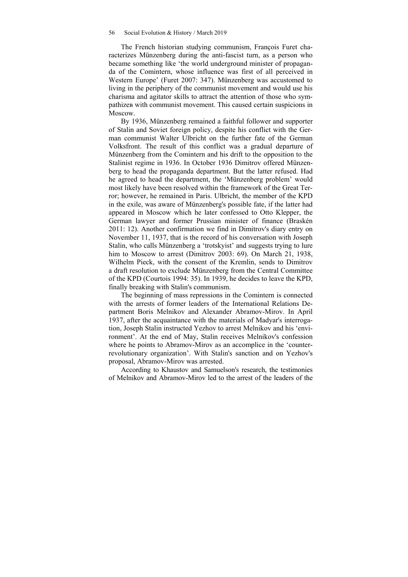The French historian studying communism, François Furet characterizes Münzenberg during the anti-fascist turn, as a person who became something like 'the world underground minister of propaganda of the Comintern, whose influence was first of all perceived in Western Europe' (Furet 2007: 347). Münzenberg was accustomed to living in the periphery of the communist movement and would use his charisma and agitator skills to attract the attention of those who sympathizeв with communist movement. This caused certain suspicions in Moscow.

By 1936, Münzenberg remained a faithful follower and supporter of Stalin and Soviet foreign policy, despite his conflict with the German communist Walter Ulbricht on the further fate of the German Volksfront. The result of this conflict was a gradual departure of Münzenberg from the Comintern and his drift to the opposition to the Stalinist regime in 1936. In October 1936 Dimitrov offered Münzenberg to head the propaganda department. But the latter refused. Had he agreed to head the department, the 'Münzenberg problem' would most likely have been resolved within the framework of the Great Terror; however, he remained in Paris. Ulbricht, the member of the KPD in the exile, was aware of Münzenberg's possible fate, if the latter had appeared in Moscow which he later confessed to Otto Klepper, the German lawyer and former Prussian minister of finance (Braskén 2011: 12). Another confirmation we find in Dimitrov's diary entry on November 11, 1937, that is the record of his conversation with Joseph Stalin, who calls Münzenberg a 'trotskyist' and suggests trying to lure him to Moscow to arrest (Dimitrov 2003: 69). On March 21, 1938, Wilhelm Pieck, with the consent of the Kremlin, sends to Dimitrov a draft resolution to exclude Münzenberg from the Central Committee of the KPD (Courtois 1994: 35). In 1939, he decides to leave the KPD, finally breaking with Stalin's communism.

The beginning of mass repressions in the Comintern is connected with the arrests of former leaders of the International Relations Department Boris Melnikov and Alexander Abramov-Mirov. In April 1937, after the acquaintance with the materials of Madyar's interrogation, Joseph Stalin instructed Yezhov to arrest Melnikov and his 'environment'. At the end of May, Stalin receives Melnikov's confession where he points to Abramov-Mirov as an accomplice in the 'counterrevolutionary organization'. With Stalin's sanction and on Yezhov's proposal, Abramov-Mirov was arrested.

According to Khaustov and Samuelson's research, the testimonies of Melnikov and Abramov-Mirov led to the arrest of the leaders of the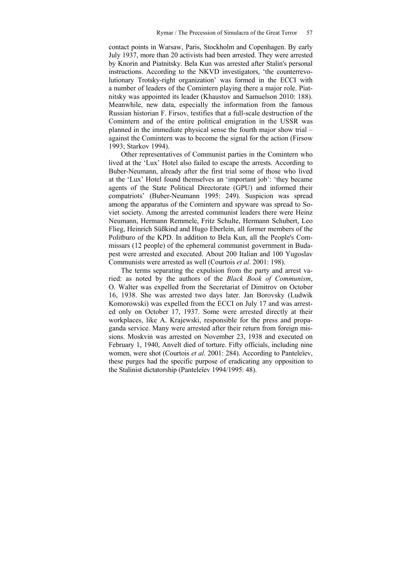contact points in Warsaw, Paris, Stockholm and Copenhagen. By early July 1937, more than 20 activists had been arrested. They were arrested by Knorin and Piatnitsky. Bela Kun was arrested after Stalin's personal instructions. According to the NKVD investigators, 'the counterrevolutionary Trotsky-right organization' was formed in the ECCI with a number of leaders of the Comintern playing there a major role. Piatnitsky was appointed its leader (Khaustov and Samuelson 2010: 188). Meanwhile, new data, especially the information from the famous Russian historian F. Firsov, testifies that a full-scale destruction of the Comintern and of the entire political emigration in the USSR was planned in the immediate physical sense the fourth major show trial – against the Comintern was to become the signal for the action (Firsow 1993; Starkov 1994).

Other representatives of Communist parties in the Comintern who lived at the 'Lux' Hotel also failed to escape the arrests. According to Buber-Neumann, already after the first trial some of those who lived at the 'Lux' Hotel found themselves an 'important job': 'they became agents of the State Political Directorate (GPU) and informed their compatriots' (Buber-Neumann 1995: 249). Suspicion was spread among the apparatus of the Comintern and spyware was spread to Soviet society. Among the arrested communist leaders there were Heinz Neumann, Hermann Remmele, Fritz Schulte, Hermann Schubert, Leo Flieg, Heinrich Süßkind and Hugo Eberlein, all former members of the Politburo of the KPD. In addition to Bela Kun, all the People's Commissars (12 people) of the ephemeral communist government in Budapest were arrested and executed. About 200 Italian and 100 Yugoslav Communists were arrested as well (Courtois *et al*. 2001: 198).

The terms separating the expulsion from the party and arrest varied: as noted by the authors of the *Black Book of Communism*, O. Walter was expelled from the Secretariat of Dimitrov on October 16, 1938. She was arrested two days later. Jan Borovsky (Ludwik Komorowski) was expelled from the ECCI on July 17 and was arrested only on October 17, 1937. Some were arrested directly at their workplaces, like A. Krajewski, responsible for the press and propaganda service. Many were arrested after their return from foreign missions. Moskvin was arrested on November 23, 1938 and executed on February 1, 1940, Anvelt died of torture. Fifty officials, including nine women, were shot (Courtois *et al*. 2001: 284). According to Panteleїev, these purges had the specific purpose of eradicating any opposition to the Stalinist dictatorship (Panteleїev 1994/1995: 48).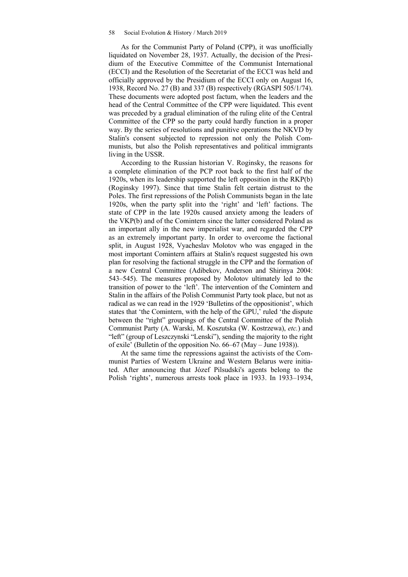As for the Communist Party of Poland (CPP), it was unofficially liquidated on November 28, 1937. Actually, the decision of the Presidium of the Executive Committee of the Communist International (ECCI) and the Resolution of the Secretariat of the ECCI was held and officially approved by the Presidium of the ECCI only on August 16, 1938, Record No. 27 (B) and 337 (B) respectively (RGASPI 505/1/74). These documents were adopted post factum, when the leaders and the head of the Central Committee of the CPP were liquidated. This event was preceded by a gradual elimination of the ruling elite of the Central Committee of the CPP so the party could hardly function in a proper way. By the series of resolutions and punitive operations the NKVD by Stalin's consent subjected to repression not only the Polish Communists, but also the Polish representatives and political immigrants living in the USSR.

According to the Russian historian V. Roginsky, the reasons for a complete elimination of the PCP root back to the first half of the 1920s, when its leadership supported the left opposition in the RKP(b) (Roginsky 1997). Since that time Stalin felt certain distrust to the Poles. The first repressions of the Polish Communists began in the late 1920s, when the party split into the 'right' and 'left' factions. The state of CPP in the late 1920s caused anxiety among the leaders of the VKP(b) and of the Comintern since the latter considered Poland as an important ally in the new imperialist war, and regarded the CPP as an extremely important party. In order to overcome the factional split, in August 1928, Vyacheslav Molotov who was engaged in the most important Comintern affairs at Stalin's request suggested his own plan for resolving the factional struggle in the CPP and the formation of a new Central Committee (Adibekov, Anderson and Shirinya 2004: 543–545). The measures proposed by Molotov ultimately led to the transition of power to the 'left'. The intervention of the Comintern and Stalin in the affairs of the Polish Communist Party took place, but not as radical as we can read in the 1929 'Bulletins of the oppositionist', which states that 'the Comintern, with the help of the GPU,' ruled 'the dispute between the "right" groupings of the Central Committee of the Polish Communist Party (A. Warski, M. Koszutska (W. Kostrzewa), *etc.*) and "left" (group of Leszczynski "Lenski"), sending the majority to the right of exile' (Bulletin of the opposition No. 66–67 (May – June 1938)).

At the same time the repressions against the activists of the Communist Parties of Western Ukraine and Western Belarus were initiated. After announcing that Józef Pilsudski's agents belong to the Polish 'rights', numerous arrests took place in 1933. In 1933–1934,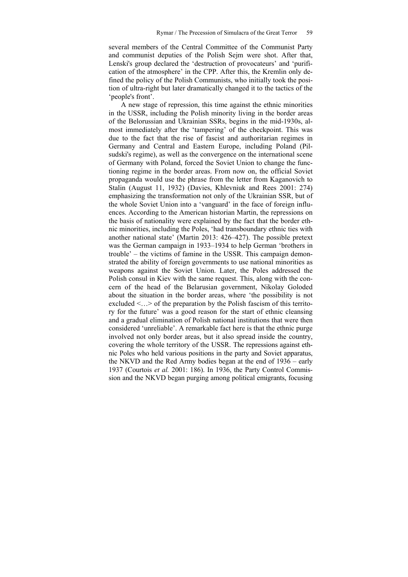several members of the Central Committee of the Communist Party and communist deputies of the Polish Sejm were shot. After that, Lenski's group declared the 'destruction of provocateurs' and 'purification of the atmosphere' in the CPP. After this, the Kremlin only defined the policy of the Polish Communists, who initially took the position of ultra-right but later dramatically changed it to the tactics of the 'people's front'.

A new stage of repression, this time against the ethnic minorities in the USSR, including the Polish minority living in the border areas of the Belorussian and Ukrainian SSRs, begins in the mid-1930s, almost immediately after the 'tampering' of the checkpoint. This was due to the fact that the rise of fascist and authoritarian regimes in Germany and Central and Eastern Europe, including Poland (Pilsudski's regime), as well as the convergence on the international scene of Germany with Poland, forced the Soviet Union to change the functioning regime in the border areas. From now on, the official Soviet propaganda would use the phrase from the letter from Kaganovich to Stalin (August 11, 1932) (Davies, Khlevniuk and Rees 2001: 274) emphasizing the transformation not only of the Ukrainian SSR, but of the whole Soviet Union into a 'vanguard' in the face of foreign influences. According to the American historian Martin, the repressions on the basis of nationality were explained by the fact that the border ethnic minorities, including the Poles, 'had transboundary ethnic ties with another national state' (Martin 2013: 426–427). The possible pretext was the German campaign in 1933–1934 to help German 'brothers in trouble' – the victims of famine in the USSR. This campaign demonstrated the ability of foreign governments to use national minorities as weapons against the Soviet Union. Later, the Poles addressed the Polish consul in Kiev with the same request. This, along with the concern of the head of the Belarusian government, Nikolay Goloded about the situation in the border areas, where 'the possibility is not excluded <...> of the preparation by the Polish fascism of this territory for the future' was a good reason for the start of ethnic cleansing and a gradual elimination of Polish national institutions that were then considered 'unreliable'. A remarkable fact here is that the ethnic purge involved not only border areas, but it also spread inside the country, covering the whole territory of the USSR. The repressions against ethnic Poles who held various positions in the party and Soviet apparatus, the NKVD and the Red Army bodies began at the end of 1936 – early 1937 (Courtois *et al.* 2001: 186). In 1936, the Party Control Commission and the NKVD began purging among political emigrants, focusing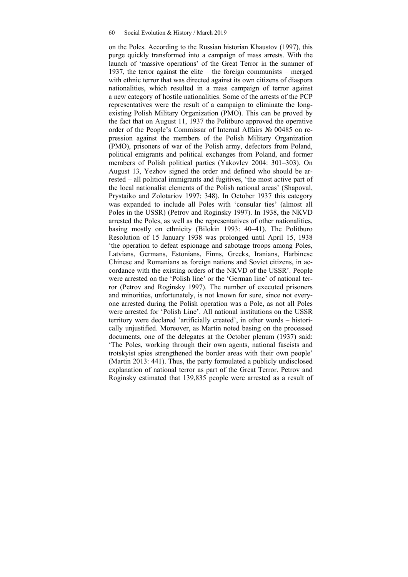on the Poles. According to the Russian historian Khaustov (1997), this purge quickly transformed into a campaign of mass arrests. With the launch of 'massive operations' of the Great Terror in the summer of 1937, the terror against the elite – the foreign communists – merged with ethnic terror that was directed against its own citizens of diaspora nationalities, which resulted in a mass campaign of terror against a new category of hostile nationalities. Some of the arrests of the PCP representatives were the result of a campaign to eliminate the longexisting Polish Military Organization (PMO). This can be proved by the fact that on August 11, 1937 the Politburo approved the operative order of the People's Commissar of Internal Affairs № 00485 on repression against the members of the Polish Military Organization (PMO), prisoners of war of the Polish army, defectors from Poland, political emigrants and political exchanges from Poland, and former members of Polish political parties (Yakovlev 2004: 301–303). On August 13, Yezhov signed the order and defined who should be arrested – all political immigrants and fugitives, 'the most active part of the local nationalist elements of the Polish national areas' (Shapoval, Prystaiko and Zolotariov 1997: 348). In October 1937 this category was expanded to include all Poles with 'consular ties' (almost all Poles in the USSR) (Petrov and Roginsky 1997). In 1938, the NKVD arrested the Poles, as well as the representatives of other nationalities, basing mostly on ethnicity (Bilokin 1993: 40–41). The Politburo Resolution of 15 January 1938 was prolonged until April 15, 1938 'the operation to defeat espionage and sabotage troops among Poles, Latvians, Germans, Estonians, Finns, Greeks, Iranians, Harbinese Chinese and Romanians as foreign nations and Soviet citizens, in accordance with the existing orders of the NKVD of the USSR'. People were arrested on the 'Polish line' or the 'German line' of national terror (Petrov and Roginsky 1997). The number of executed prisoners and minorities, unfortunately, is not known for sure, since not everyone arrested during the Polish operation was a Pole, as not all Poles were arrested for 'Polish Line'. All national institutions on the USSR territory were declared 'artificially created', in other words – historically unjustified. Moreover, as Martin noted basing on the processed documents, one of the delegates at the October plenum (1937) said: 'The Poles, working through their own agents, national fascists and trotskyist spies strengthened the border areas with their own people' (Martin 2013: 441). Thus, the party formulated a publicly undisclosed explanation of national terror as part of the Great Terror. Petrov and Roginsky estimated that 139,835 people were arrested as a result of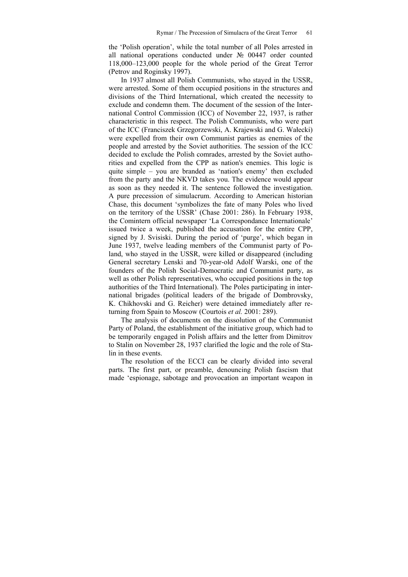the 'Polish operation', while the total number of all Poles arrested in all national operations conducted under № 00447 order counted 118,000–123,000 people for the whole period of the Great Terror (Petrov and Roginsky 1997).

In 1937 almost all Polish Communists, who stayed in the USSR, were arrested. Some of them occupied positions in the structures and divisions of the Third International, which created the necessity to exclude and condemn them. The document of the session of the International Control Commission (ICC) of November 22, 1937, is rather characteristic in this respect. The Polish Communists, who were part of the ICC (Franciszek Grzegorzewski, A. Krajewski and G. Wałecki) were expelled from their own Communist parties as enemies of the people and arrested by the Soviet authorities. The session of the ICC decided to exclude the Polish comrades, arrested by the Soviet authorities and expelled from the CPP as nation's enemies. This logic is quite simple – you are branded as 'nation's enemy' then excluded from the party and the NKVD takes you. The evidence would appear as soon as they needed it. The sentence followed the investigation. A pure precession of simulacrum. According to American historian Chase, this document 'symbolizes the fate of many Poles who lived on the territory of the USSR' (Chase 2001: 286). In February 1938, the Comintern official newspaper 'La Correspondance Internationale' issued twice a week, published the accusation for the entire CPP, signed by J. Svisiski. During the period of 'purge', which began in June 1937, twelve leading members of the Communist party of Poland, who stayed in the USSR, were killed or disappeared (including General secretary Lenski and 70-year-old Adolf Warski, one of the founders of the Polish Social-Democratic and Communist party, as well as other Polish representatives, who occupied positions in the top authorities of the Third International). The Poles participating in international brigades (political leaders of the brigade of Dombrovsky, K. Chikhovski and G. Reicher) were detained immediately after returning from Spain to Moscow (Courtois *et al.* 2001: 289).

The analysis of documents on the dissolution of the Communist Party of Poland, the establishment of the initiative group, which had to be temporarily engaged in Polish affairs and the letter from Dimitrov to Stalin on November 28, 1937 clarified the logic and the role of Stalin in these events.

The resolution of the ECCI can be clearly divided into several parts. The first part, or preamble, denouncing Polish fascism that made 'espionage, sabotage and provocation an important weapon in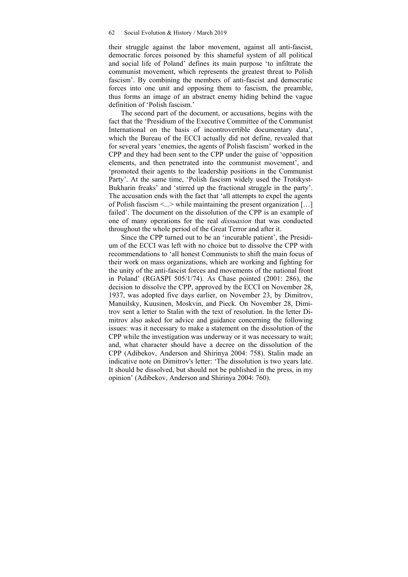their struggle against the labor movement, against all anti-fascist, democratic forces poisoned by this shameful system of all political and social life of Poland' defines its main purpose 'to infiltrate the communist movement, which represents the greatest threat to Polish fascism'. By combining the members of anti-fascist and democratic forces into one unit and opposing them to fascism, the preamble, thus forms an image of an abstract enemy hiding behind the vague definition of 'Polish fascism.'

The second part of the document, or accusations, begins with the fact that the 'Presidium of the Executive Committee of the Communist International on the basis of incontrovertible documentary data', which the Bureau of the ECCI actually did not define, revealed that for several years 'enemies, the agents of Polish fascism' worked in the CPP and they had been sent to the CPP under the guise of 'opposition elements, and then penetrated into the communist movement', and 'promoted their agents to the leadership positions in the Communist Party'. At the same time, 'Polish fascism widely used the Trotskyst-Bukharin freaks' and 'stirred up the fractional struggle in the party'. The accusation ends with the fact that 'all attempts to expel the agents of Polish fascism <...> while maintaining the present organization […] failed'. The document on the dissolution of the CPP is an example of one of many operations for the real *dissuasion* that was conducted throughout the whole period of the Great Terror and after it.

Since the CPP turned out to be an 'incurable patient', the Presidium of the ECCI was left with no choice but to dissolve the CPP with recommendations to 'all honest Communists to shift the main focus of their work on mass organizations, which are working and fighting for the unity of the anti-fascist forces and movements of the national front in Poland' (RGASPI 505/1/74). As Chase pointed (2001: 286), the decision to dissolve the CPP, approved by the ECCI on November 28, 1937, was adopted five days earlier, on November 23, by Dimitrov, Manuilsky, Kuusinen, Moskvin, and Pieck. On November 28, Dimitrov sent a letter to Stalin with the text of resolution. In the letter Dimitrov also asked for advice and guidance concerning the following issues: was it necessary to make a statement on the dissolution of the CPP while the investigation was underway or it was necessary to wait; and, what character should have a decree on the dissolution of the CPP (Adibekov, Anderson and Shirinya 2004: 758). Stalin made an indicative note on Dimitrov's letter: 'The dissolution is two years late. It should be dissolved, but should not be published in the press, in my opinion' (Adibekov, Anderson and Shirinya 2004: 760).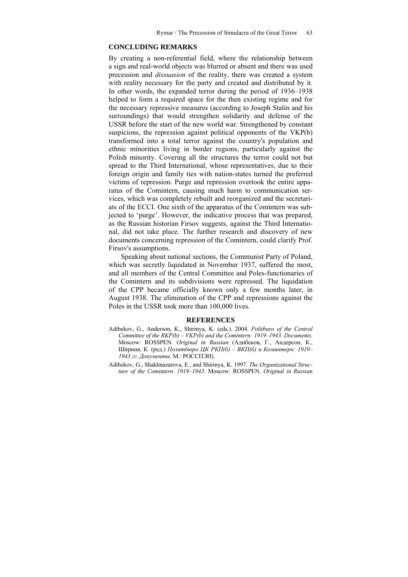### **CONCLUDING REMARKS**

By creating a non-referential field, where the relationship between a sign and real-world objects was blurred or absent and there was used precession and *dissuasion* of the reality, there was created a system with reality necessary for the party and created and distributed by it. In other words, the expanded terror during the period of 1936–1938 helped to form a required space for the then existing regime and for the necessary repressive measures (according to Joseph Stalin and his surroundings) that would strengthen solidarity and defense of the USSR before the start of the new world war. Strengthened by constant suspicions, the repression against political opponents of the VKP(b) transformed into a total terror against the country's population and ethnic minorities living in border regions, particularly against the Polish minority. Covering all the structures the terror could not but spread to the Third International, whose representatives, due to their foreign origin and family ties with nation-states turned the preferred victims of repression. Purge and repression overtook the entire apparatus of the Comintern, causing much harm to communication services, which was completely rebuilt and reorganized and the secretariats of the ECCI. One sixth of the apparatus of the Comintern was subjected to 'purge'. However, the indicative process that was prepared, as the Russian historian Firsov suggests, against the Third International, did not take place. The further research and discovery of new documents concerning repression of the Comintern, could clarify Prof. Firsov's assumptions.

Speaking about national sections, the Communist Party of Poland, which was secretly liquidated in November 1937, suffered the most, and all members of the Central Committee and Poles-functionaries of the Comintern and its subdivisions were repressed. The liquidation of the CPP became officially known only a few months later, in August 1938. The elimination of the CPP and repressions against the Poles in the USSR took more than 100,000 lives.

#### **REFERENCES**

Adibekov, G., Anderson, K., Shirinya, K. (eds.). 2004. *Politburo of the Central Committee of the RKP(b) – VKP(b) and the Comintern: 1919–1943. Documents.* Moscow: ROSSPEN. *Original in Russian* (Адибеков, Г., Андерсон, К., Шириня, К. (ред.) *Политбюро ЦК РКП(б) – ВКП(б) и Коминтерн: 1919– 1943 гг. Документы*. М.: РОССПЭН).

Adibekov, G., Shakhnazarova, E., and Shirinya, K. 1997. *The Organizational Structure of the Comintern. 1919–1943*. Moscow: ROSSPEN. *Original in Russian*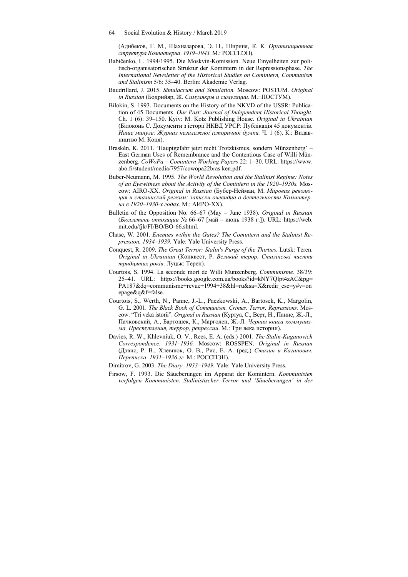64 Social Evolution & History / March 2019

(Адибеков, Г. М., Шахназарова, Э. Н., Шириня, К. К. *Организационная структура Коминтерна*. *1919–1943.* М.: РОССПЭН).

- Babičenko, L. 1994/1995. Die Moskvin-Komission. Neue Einyelheiten zur politisch-organisatorischen Struktur der Komintern in der Repressionsphase. *The International Newsletter of the Historical Studies on Comintern, Communism and Stalinism* 5/6: 35–40. Berlin: Akademie Verlag.
- Baudrillard, J. 2015. *Simulacrum and Simulation.* Moscow: POSTUM. *Original in Russian* (Бодрийяр, Ж. *Симулякры и симуляции*. М.: ПОСТУМ).
- Bilokin, S. 1993. Documents on the History of the NKVD of the USSR: Publication of 45 Documents. *Our Past: Journal of Independent Historical Thought.* Ch. 1 (6): 39–150. Kyiv: M. Kotz Publishing House. *Original in Ukrainian* (Білоконь С. Документи з історії НКВД УРСР: Публікація 45 документів. *Наше минуле: Журнал незалежної історичної думки.* Ч. 1 (6). К.: Видавництво М. Коця).
- Braskén, K. 2011. 'Hauptgefahr jetzt nicht Trotzkismus, sondern Münzenberg' East German Uses of Remembrance and the Contentious Case of Willi Münzenberg. *CoWoPa – Comintern Working Papers* 22: 1–30. URL: https://www. abo.fi/student/media/7957/cowopa22bras ken.pdf.
- Buber-Neumann, M. 1995. *The World Revolution and the Stalinist Regime: Notes of an Eyewitness about the Activity of the Comintern in the 1920–1930s.* Moscow: AIRO-XX. *Original in Russian* (Бубер-Нейман, М. *Мировая революция и сталинский режим: записки очевидца о деятельности Коминтерна в 1920–1930-х годах*. М.: АИРО-ХХ).
- Bulletin of the Opposition No. 66–67 (May June 1938). *Original in Russian* (*Бюллетень оппозиции* № 66–67 [май – июнь 1938 г.]). URL: https://web. mit.edu/fjk/FI/BO/BO-66.shtml.
- Chase, W. 2001. *Enemies within the Gates? The Comintern and the Stalinist Repression, 1934*–*1939.* Yale: Yale University Press.
- Conquest, R. 2009. *The Great Terror: Stalin's Purge of the Thirties.* Lutsk: Teren. *Original in Ukrainian* (Конквест, Р. *Великий терор. Сталінські чистки тридцятих років*. Луцьк: Терен).
- Courtois, S. 1994. La seconde mort de Willi Munzenberg. *Communisme*. 38/39: 25–41. URL: https://books.google.com.ua/books?id=kNY7Qlpt4zAC&pg= PA187&dq=communisme+revue+1994+38&hl=ru&sa=X&redir\_esc=y#v=on epage&q&f=false.
- Courtois, S., Werth, N., Panne, J.-L., Paczkowski, A., Bartosek, K., Margolin, G. L. 2001. *The Black Book of Communism. Crimes, Terror, Repressions.* Moscow: "Tri veka istorii". *Original in Russian* (Куртуа, С., Верт, Н., Панне, Ж.-Л., Пачковский, А., Бартошек, К., Марголен, Ж.-Л. *Черная книга коммунизма. Преступления, террор, репрессии*. М.: Три века истории).
- Davies, R. W., Khlevniuk, O. V., Rees, E. A. (eds.) 2001. *The Stalin-Kaganovich Correspondence. 1931*–*1936.* Moscow: ROSSPEN. *Original in Russian*  (Дэвис, Р. В., Хлевнюк, О. В., Рис, Е. А. (ред.) *Сталин и Каганович. Переписка*. *1931–1936 гг.* М.: РОССПЭН).
- Dimitrov, G. 2003. *The Diary. 1933*–*1949.* Yale: Yale University Press.
- Firsow, F. 1993. Die Säueberungen im Apparat der Komintern. *Kommunisten verfolgen Kommunisten. Stalinistischer Terror und 'Säueberungen' in der*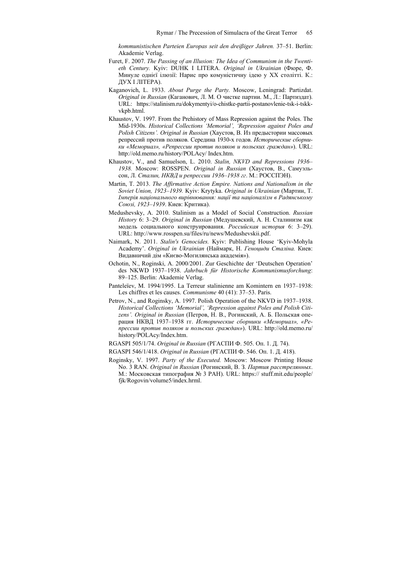*kommunistischen Parteien Europas seit den dreißiger Jahren.* 37–51. Berlin: Akademie Verlag.

- Furet, F. 2007. *The Passing of an Illusion: The Idea of Communism in the Twentieth Century.* Kyiv: DUHK I LITERA. *Original in Ukrainian* (Фюре, Ф. Минуле однієї ілюзії: Нарис про комуністичну ідею у ХХ столітті. К.: ДУХ І ЛІТЕРА).
- Kaganovich, L. 1933. *About Purge the Party.* Moscow, Leningrad: Partizdat. *Original in Russian* (Каганович, Л. М. О чистке партии. М., Л.: Партиздат). URL: https://stalinism.ru/dokymentyi/o-chistke-partii-postanovlenie-tsk-i-tskkvkpb.html.
- Khaustov, V. 1997. From the Prehistory of Mass Repression against the Poles. The Mid-1930s. *Historical Collections 'Memorial', 'Repression against Poles and Polish Citizens'. Original in Russian* (Хаустов, В. Из предыстории массовых репрессий против поляков. Середина 1930-х годов. *Исторические сборники «Мемориал», «Репрессии против поляков и польских граждан»*). URL: http://old.memo.ru/history/POLAcy/ Index.htm.
- Khaustov, V., and Samuelson, L. 2010. *Stalin, NKVD and Repressions 1936 1938.* Moscow: ROSSPEN. *Original in Russian* (Хаустов, В., Самуэльсон, Л. *Сталин, НКВД и репрессии 1936–1938 гг*. М.: РОССПЭН).
- Martin, T. 2013. *The Affirmative Action Empire. Nations and Nationalism in the Soviet Union, 1923–1939.* Kyiv: Krytyka. *Original in Ukrainian* (Мартин, Т. *Імперія національного вирівнювання: нації та націоналізм в Радянському Союзі, 1923–1939*. Киев: Критика).
- Medushevsky, A. 2010. Stalinism as a Model of Social Construction. *Russian History* 6: 3–29. *Original in Russian* (Медушевский, А. Н. Сталинизм как модель социального конструирования. *Российская история* 6: 3–29). URL: http://www.rosspen.su/files/ru/news/Medushevskii.pdf.
- Naimark, N. 2011. *Stalin's Genocides.* Kyiv: Publishing House 'Kyiv-Mohyla Academy'. *Original in Ukrainian* (Наймарк, Н. *Геноциди Сталіна.* Киев: Видавничий дім «Києво-Могилянська академія»).
- Ochotin, N., Roginski, A. 2000/2001. Zur Geschichte der 'Deutschen Operation' des NKWD 1937–1938. *Jahrbuch für Historische Kommunismusforchung*: 89–125. Berlin: Akademie Verlag.
- Panteleїev, M. 1994/1995. La Terreur stаlinienne am Komintern en 1937–1938: Les chiffres et les causes. *Communisme* 40 (41): 37–53. Paris.
- Petrov, N., and Roginsky, A. 1997. Polish Operation of the NKVD in 1937–1938. *Historical Collections 'Memorial', 'Repression against Poles and Polish Citizens'. Original in Russian* (Петров, Н. В., Рогинский, А. Б. Польская операция НКВД 1937–1938 гг. *Исторические сборники «Мемориал», «Репрессии против поляков и польских граждан»*). URL: http://old.memo.ru/ history/POLAcy/Index.htm.
- RGASPI 505/1/74. *Original in Russian* (РГАСПИ Ф. 505. Оп. 1. Д. 74).
- RGASPI 546/1/418. *Original in Russian* (РГАСПИ Ф. 546. Оп. 1. Д. 418).
- Roginsky, V. 1997. *Party of the Executed.* Moscow: Moscow Printing House No. 3 RAN. *Original in Russian* (Рогинский, В. З. *Партия расстрелянных*. М.: Московская типография № 3 РАН). URL: https:// stuff.mit.edu/people/ fjk/Rogovin/volume5/index.hrml.